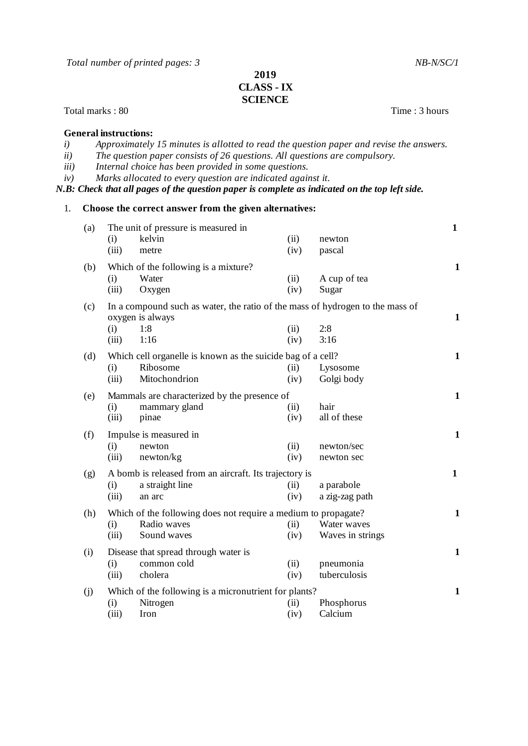*Total number of printed pages: 3 NB-N/SC/1*

## **2019 CLASS - IX SCIENCE**

Total marks : 80 Time : 3 hours

## **General instructions:**

|                                                                                                | Approximately 15 minutes is allotted to read the question paper and revise the answers. |  |  |  |
|------------------------------------------------------------------------------------------------|-----------------------------------------------------------------------------------------|--|--|--|
| ii)                                                                                            | The question paper consists of 26 questions. All questions are compulsory.              |  |  |  |
| <i>iii</i> )                                                                                   | Internal choice has been provided in some questions.                                    |  |  |  |
| iv)                                                                                            | Marks allocated to every question are indicated against it.                             |  |  |  |
| N.B: Check that all pages of the question paper is complete as indicated on the top left side. |                                                                                         |  |  |  |

## 1. **Choose the correct answer from the given alternatives:**

| (a) |                                                        | The unit of pressure is measured in                                           |      |                  | $\mathbf{1}$ |
|-----|--------------------------------------------------------|-------------------------------------------------------------------------------|------|------------------|--------------|
|     | (i)                                                    | kelvin                                                                        | (ii) | newton           |              |
|     | (iii)                                                  | metre                                                                         | (iv) | pascal           |              |
| (b) |                                                        | Which of the following is a mixture?                                          |      |                  | $\mathbf{1}$ |
|     | (i)                                                    | Water                                                                         | (ii) | A cup of tea     |              |
|     | (iii)                                                  | Oxygen                                                                        | (iv) | Sugar            |              |
|     |                                                        |                                                                               |      |                  |              |
| (c) |                                                        | In a compound such as water, the ratio of the mass of hydrogen to the mass of |      |                  | $\mathbf{1}$ |
|     | (i)                                                    | oxygen is always<br>1:8                                                       | (ii) | 2:8              |              |
|     | (iii)                                                  | 1:16                                                                          | (iv) | 3:16             |              |
|     |                                                        |                                                                               |      |                  |              |
| (d) |                                                        | Which cell organelle is known as the suicide bag of a cell?                   |      |                  | $\mathbf{1}$ |
|     | (i)                                                    | Ribosome                                                                      | (ii) | Lysosome         |              |
|     | (iii)                                                  | Mitochondrion                                                                 | (iv) | Golgi body       |              |
| (e) | Mammals are characterized by the presence of           |                                                                               |      |                  | $\mathbf{1}$ |
|     | (i)                                                    | mammary gland                                                                 | (ii) | hair             |              |
|     | (iii)                                                  | pinae                                                                         | (iv) | all of these     |              |
|     |                                                        |                                                                               |      |                  |              |
| (f) |                                                        | Impulse is measured in                                                        |      |                  | $\mathbf{1}$ |
|     | (i)                                                    | newton                                                                        | (ii) | newton/sec       |              |
|     | (iii)                                                  | newton/kg                                                                     | (iv) | newton sec       |              |
| (g) | A bomb is released from an aircraft. Its trajectory is |                                                                               |      |                  | $\mathbf{1}$ |
|     | (i)                                                    | a straight line                                                               | (ii) | a parabole       |              |
|     | (iii)                                                  | an arc                                                                        | (iv) | a zig-zag path   |              |
| (h) |                                                        | Which of the following does not require a medium to propagate?                |      |                  | $\mathbf{1}$ |
|     | (i)                                                    | Radio waves                                                                   | (ii) | Water waves      |              |
|     | (iii)                                                  | Sound waves                                                                   | (iv) | Waves in strings |              |
|     |                                                        |                                                                               |      |                  |              |
| (i) |                                                        | Disease that spread through water is                                          |      |                  | $\mathbf{1}$ |
|     | (i)                                                    | common cold                                                                   | (ii) | pneumonia        |              |
|     | (iii)                                                  | cholera                                                                       | (iv) | tuberculosis     |              |
| (j) | Which of the following is a micronutrient for plants?  |                                                                               |      |                  | $\mathbf{1}$ |
|     | (i)                                                    | Nitrogen                                                                      | (ii) | Phosphorus       |              |
|     | (iii)                                                  | Iron                                                                          | (iv) | Calcium          |              |
|     |                                                        |                                                                               |      |                  |              |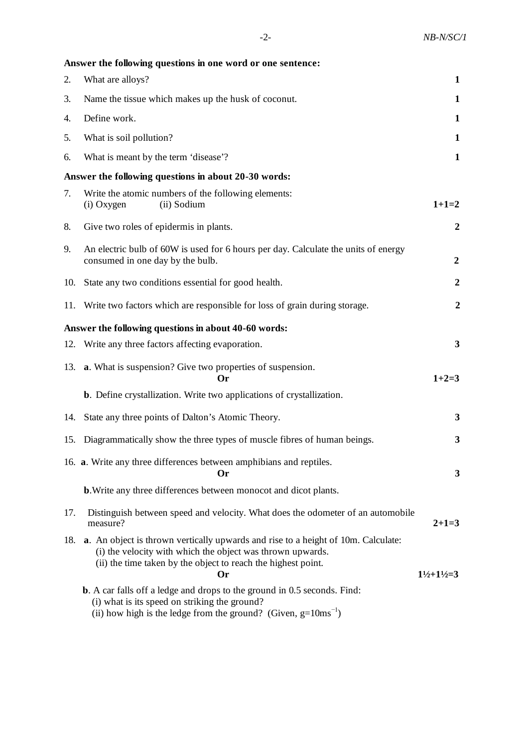|     | Answer the following questions in one word or one sentence:                                                                                                                                                            |                                   |
|-----|------------------------------------------------------------------------------------------------------------------------------------------------------------------------------------------------------------------------|-----------------------------------|
| 2.  | What are alloys?                                                                                                                                                                                                       | 1                                 |
| 3.  | Name the tissue which makes up the husk of coconut.                                                                                                                                                                    | $\mathbf{1}$                      |
| 4.  | Define work.                                                                                                                                                                                                           | $\mathbf 1$                       |
| 5.  | What is soil pollution?                                                                                                                                                                                                | $\mathbf{1}$                      |
| 6.  | What is meant by the term 'disease'?                                                                                                                                                                                   | $\mathbf{1}$                      |
|     | Answer the following questions in about 20-30 words:                                                                                                                                                                   |                                   |
| 7.  | Write the atomic numbers of the following elements:<br>(ii) Sodium<br>(i) Oxygen                                                                                                                                       | $1+1=2$                           |
| 8.  | Give two roles of epidermis in plants.                                                                                                                                                                                 | $\boldsymbol{2}$                  |
| 9.  | An electric bulb of 60W is used for 6 hours per day. Calculate the units of energy<br>consumed in one day by the bulb.                                                                                                 | $\boldsymbol{2}$                  |
| 10. | State any two conditions essential for good health.                                                                                                                                                                    | $\boldsymbol{2}$                  |
| 11. | Write two factors which are responsible for loss of grain during storage.                                                                                                                                              | $\boldsymbol{2}$                  |
|     | Answer the following questions in about 40-60 words:                                                                                                                                                                   |                                   |
|     | 12. Write any three factors affecting evaporation.                                                                                                                                                                     | 3                                 |
|     | 13. <b>a.</b> What is suspension? Give two properties of suspension.<br>Or                                                                                                                                             | $1+2=3$                           |
|     | <b>b</b> . Define crystallization. Write two applications of crystallization.                                                                                                                                          |                                   |
|     | 14. State any three points of Dalton's Atomic Theory.                                                                                                                                                                  | $\mathbf{3}$                      |
| 15. | Diagrammatically show the three types of muscle fibres of human beings.                                                                                                                                                | 3                                 |
|     | 16. a. Write any three differences between amphibians and reptiles.<br><b>Or</b>                                                                                                                                       | 3                                 |
|     | <b>b.</b> Write any three differences between monocot and dicot plants.                                                                                                                                                |                                   |
| 17. | Distinguish between speed and velocity. What does the odometer of an automobile<br>measure?                                                                                                                            | $2+1=3$                           |
| 18. | a. An object is thrown vertically upwards and rise to a height of 10m. Calculate:<br>(i) the velocity with which the object was thrown upwards.<br>(ii) the time taken by the object to reach the highest point.<br>Or | $1\frac{1}{2} + 1\frac{1}{2} = 3$ |
|     | <b>b</b> . A car falls off a ledge and drops to the ground in 0.5 seconds. Find:<br>(i) what is its speed on striking the ground?                                                                                      |                                   |

(ii) how high is the ledge from the ground? (Given,  $g=10ms^{-1}$ )